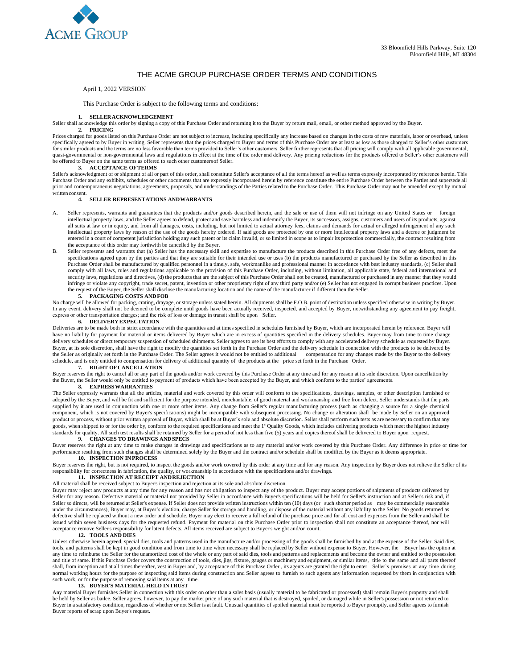

# THE ACME GROUP PURCHASE ORDER TERMS AND CONDITIONS

## April 1, 2022 VERSION

This Purchase Order is subject to the following terms and conditions:

#### **1. SELLERACKNOWLEDGEMENT**

Seller shall acknowledge this order by signing a copy of this Purchase Order and returning it to the Buyer by return mail, email, or other method approved by the Buyer.

#### **2. PRICING**

Prices charged for goods listed on this Purchase Order are not subject to increase, including specifically any increase based on changes in the costs of raw materials, labor or overhead, unless specifically agreed to by Buyer in writing. Seller represents that the prices charged to Buyer and terms of this Purchase Order are at least as low as those charged to Seller's other customers for similar products and the terms are no less favorable than terms provided to Seller's other customers. Seller further represents that all pricing will comply with all applicable governmental, quasi-governmental or non-governmental laws and regulations in effect at the time of the order and delivery. Any pricing reductions for the products offered to Seller's other customers will be offered to Buyer on the same terms as offered to such other customersof Seller.

#### **3. ACCEPTANCE OFTERMS**

Seller's acknowledgment of or shipment of all or part of this order, shall constitute Seller's acceptance of all the terms hereof as well as terms expressly incorporated by reference herein. This Purchase Order and any exhibits, schedules or other documents that are expressly incorporated herein by reference constitute the entire Purchase Order between the Parties and supersede all prior and contemporaneous negotiations, agreements, proposals, and understandings of the Parties related to the Purchase Order. This Purchase Order may not be amended except by mutual written consent.

## **4. SELLER REPRESENTATIONS ANDWARRANTS**

- A. Seller represents, warrants and guarantees that the products and/or goods described herein, and the sale or use of them will not infringe on any United States or foreign intellectual property laws, and the Seller agrees to defend, protect and save harmless and indemnify the Buyer, its successors, assigns, customers and users of its products, against all suits at law or in equity, and from all damages, costs, including, but not limited to actual attorney fees, claims and demands for actual or alleged infringement of any such intellectual property laws by reason of the use of the goods hereby ordered. If said goods are protected by one or more intellectual property laws and a decree or judgment be entered in a court of competent jurisdiction holding any such patent or its claim invalid, or so limited in scope as to impair its protection commercially, the contract resulting from the acceptance of this order may forthwith be cancelled by the Buyer.
- B. Seller represents and warrants that (a) Seller has the necessary skill and expertise to manufacture the products described in this Purchase Order free of any defects, meet the specifications agreed upon by the parties and that they are suitable for their intended use or uses (b) the products manufactured or purchased by the Seller as described in this Purchase Order shall be manufactured by qualified personnel in a timely, safe, workmanlike and professional manner in accordance with best industry standards, (c) Seller shall<br>comply with all laws, rules and regulations ap security laws, regulations and directives, (d) the products that are the subject of this Purchase Order shall not be created, manufactured or purchased in any manner that they would infringe or violate any copyright, trade secret, patent, invention or other proprietary right of any third party and/or (e) Seller has not engaged in corrupt business practices. Upon the request of the Buyer, the Seller shall disclose the manufacturing location and the name of the manufacturer if different then the Seller.

## **5. PACKAGING COSTS ANDFOB**

No charge will be allowed for packing, crating, drayage, or storage unless stated herein. All shipments shall be F.O.B. point of destination unless specified otherwise in writing by Buyer. In any event, delivery shall not be deemed to be complete until goods have been actually received, inspected, and accepted by Buyer, notwithstanding any agreement to pay freight, express or other transportation charges; and the risk of loss or damage in transit shall be upon Seller.

## **6. DELIVERYEXPECTATION**

Deliveries are to be made both in strict accordance with the quantities and at times specified in schedules furnished by Buyer, which are incorporated herein by reference. Buyer will have no liability for payment for material or items delivered by Buyer which are in excess of quantities specified in the delivery schedules. Buyer may from time to time change delivery schedules or direct temporary suspension of scheduled shipments. Seller agrees to use its best efforts to comply with any accelerated delivery schedule as requested by Buyer. Buyer, at its sole discretion, shall have the right to modify the quantities set forth in the Purchase Order and the delivery schedule in connection with the products to be delivered by the Seller as originally set forth in the Purchase Order. The Seller agrees it would not be entitled to additional compensation for any changes made by the Buyer to the delivery schedule, and is only entitled to compensation for delivery of additional quantity of the products at the price set forth in the Purchase Order.

#### **7. RIGHT OF CANCELLATION**

Buyer reserves the right to cancel all or any part of the goods and/or work covered by this Purchase Order at any time and for any reason at its sole discretion. Upon cancellation by the Buyer, the Seller would only be entitled to payment of products which have been accepted by the Buyer, and which conform to the parties' agreements.

#### **8. EXPRESSWARRANTIES**

The Seller expressly warrants that all the articles, material and work covered by this order will conform to the specifications, drawings, samples, or other description furnished or adopted by the Buyer, and will be fit and sufficient for the purpose intended, merchantable, of good material and workmanship and free from defect. Seller understands that the parts supplied by it are used in conjunction with one or more other items. Any change from Seller's regular manufacturing process (such as changing a source for a single chemical component, which is not covered by Buyer's specifications) might be incompatible with subsequent processing. No change or alteration shall be made by Seller on an approved product or process, without prior written approval of Buyer, which shall be at Buyer's sole and absolute discretion. Seller shall perform such tests as are necessary to confirm that any goods, when shipped to or for the order by, conform to the required specifications and meet the 1st Quality Goods, which includes delivering products which meet the highest industry standards for quality. All such test results shall be retained by Seller for a period of not less than five (5) years and copies thereof shall be delivered to Buyer upon request.

## **9. CHANGES TO DRAWINGS ANDSPECS**

Buyer reserves the right at any time to make changes in drawings and specifications as to any material and/or work covered by this Purchase Order. Any difference in price or time for performance resulting from such changes shall be determined solely by the Buyer and the contract and/or schedule shall be modified by the Buyer as it deems appropriate.

## **10. INSPECTION IN PROCESS**

Buyer reserves the right, but is not required, to inspect the goods and/or work covered by this order at any time and for any reason. Any inspection by Buyer does not relieve the Seller of its responsibility for correctness in fabrication, the quality, or workmanship in accordance with the specifications and/or drawings.

# **11. INSPECTION AT RECEIPT ANDREJECTION**

## All material shall be received subject to Buyer's inspection and rejection at its sole and absolute discretion.

Buyer may reject any products at any time for any reason and has not obligation to inspect any of the product. Buyer may accept portions of shipments of products delivered by Seller for any reason. Defective material or material not provided by Seller in accordance with Buyer's specifications will be held for Seller's instruction and at Seller's risk and, if Seller so directs, will be returned at Seller's expense. If Seller does not provide written instructions within ten (10) days (or such shorter period as may be commercially reasonable under the circumstances), Buyer may, at Buyer's election, charge Seller for storage and handling, or dispose of the material without any liability to the Seller. No goods returned as defective shall be replaced without a new order and schedule. Buyer may elect to receive a full refund of the purchase price and for all cost and expenses from the Seller and shall be issued within seven business days for the requested refund. Payment for material on this Purchase Order prior to inspection shall not constitute an acceptance thereof, nor will acceptance remove Seller's responsibility for latent defects. All items received are subject to Buyer's weight and/or count.

#### **12. TOOLS AND DIES**

Unless otherwise herein agreed, special dies, tools and patterns used in the manufacture and/or processing of the goods shall be furnished by and at the expense of the Seller. Said dies, tools, and patterns shall be kept in good condition and from time to time when necessary shall be replaced by Seller without expense to Buyer. However, the Buyer has the option at any time to reimburse the Seller for the unamortized cost of the whole or any part of said dies, tools and patterns and replacements and become the owner and entitled to the possession and title of same. If this Purchase Order covers the construction of tools, dies, jigs, fixture, gauges or machinery and equipment, or similar items, title to the same and all parts thereof<br>shall, from inception and at all such work, or for the purpose of removing said items at any time.

#### **13. BUYER'S MATERIAL HELD INTRUST**

Any material Buyer furnishes Seller in connection with this order on other than a sales basis (usually material to be fabricated or processed) shall remain Buyer's property and shall be held by Seller as bailee. Seller agrees, however, to pay the market price of any such material that is destroyed, spoiled, or damaged while in Seller's possession or not returned to Buyer in a satisfactory condition, regardless of whether or not Seller is at fault. Unusual quantities of spoiled material must be reported to Buyer promptly, and Seller agrees to furnish Buyer reports of scrap upon Buyer's request.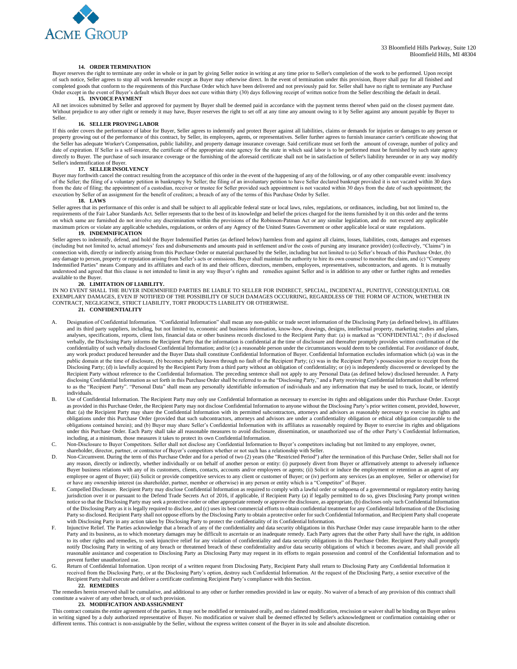

#### **14. ORDER TERMINATION**

Buyer reserves the right to terminate any order in whole or in part by giving Seller notice in writing at any time prior to Seller's completion of the work to be performed. Upon receipt of such notice, Seller agrees to stop all work hereunder except as Buyer may otherwise direct. In the event of termination under this provision, Buyer shall pay for all finished and completed goods that conform to the requirements of this Purchase Order which have been delivered and not previously paid for. Seller shall have no right to terminate any Purchase Order except in the event of Buyer's default which Buyer does not cure within thirty (30) days following receipt of written notice from the Seller describing the default in detail. **15. INVOICE PAYMENT**

All net invoices submitted by Seller and approved for payment by Buyer shall be deemed paid in accordance with the payment terms thereof when paid on the closest payment date. Without prejudice to any other right or remedy it may have, Buyer reserves the right to set off at any time any amount owing to it by Seller against any amount payable by Buyer to Seller.

#### **16. SELLER PROVINGLABOR**

If this order covers the performance of labor for Buyer, Seller agrees to indemnify and protect Buyer against all liabilities, claims or demands for injuries or damages to any person or property growing out of the performance of this contract, by Seller, its employees, agents, or representatives. Seller further agrees to furnish insurance carrier's certificate showing that the Seller has adequate Worker's Compensation, public liability, and property damage insurance coverage. Said certificate must set forth the amount of coverage, number of policy and date of expiration. If Seller is a self-insurer, the certificate of the appropriate state agency for the state in which said labor is to be performed must be furnished by such state agency<br>directly to Buyer. The purchase o Seller's indemnification of Buyer.

## **17. SELLER INSOLVENCY**

Buyer may forthwith cancel the contract resulting from the acceptance of this order in the event of the happening of any of the following, or of any other comparable event: insolvency of the Seller; the filing of a voluntary petition in bankruptcy by Seller; the filing of an involuntary petition to have Seller declared bankrupt provided it is not vacated within 30 days from the date of filing; the appointment of a custodian, receiver or trustee for Seller provided such appointment is not vacated within 30 days from the date of such appointment; the execution by Seller of an assignment fo

#### **18. LAWS**

Seller agrees that its performance of this order is and shall be subject to all applicable federal state or local laws, rules, regulations, or ordinances, including, but not limited to, the requirements of the Fair Labor Standards Act. Seller represents that to the best of its knowledge and belief the prices charged for the items furnished by it on this order and the terms on which same are furnished do not involve any discrimination within the provisions of the Robinson‑Patman Act or any similar legislation, and do not exceed any applicable maximum prices or violate any applicable schedules, regulations, or orders of any Agency of the United States Government or other applicable local or state regulations.

#### **19. INDEMNIFICATION**

Seller agrees to indemnify, defend, and hold the Buyer Indemnified Parties (as defined below) harmless from and against all claims, losses, liabilities, costs, damages and expenses (including but not limited to, actual attorneys' fees and disbursements and amounts paid in settlement and/or the costs of pursing any insurance provider) (collectively, "Claims") in connection with, directly or indirectly arising from this Purchase Order or material purchased by the Seller, including but not limited to (a) Seller's breach of this Purchase Order, (b) any damage to person, property or reputation arising from Seller's acts or omissions. Buyer shall maintain the authority to hire its own counsel to monitor the claim, and (c) "Company Indemnified Parties" means Company and its affiliates and each of its and their officers, directors, members, employees, representatives, subcontractors, and agents. It is mutually understood and agreed that this clause is not intended to limit in any way Buyer's rights and remedies against Seller and is in addition to any other or further rights and remedies available to the Buyer.

# **20. LIMITATION OF LIABILITY.**

IN NO EVENT SHALL THE BUYER INDEMNIFIED PARTIES BE LIABLE TO SELLER FOR INDIRECT, SPECIAL, INCIDENTAL, PUNITIVE, CONSEQUENTIAL OR EXEMPLARY DAMAGES, EVEN IF NOTIFIED OF THE POSSIBILITY OF SUCH DAMAGES OCCURRING, REGARDLESS OF THE FORM OF ACTION, WHETHER IN CONTRACT, NEGLIGENCE, STRICT LIABILITY, TORT PRODUCTS LIABILITY OR OTHERWISE.

# **21. CONFIDENTIALITY**

- A. Designation of Confidential Information. "Confidential Information" shall mean any non-public or trade secret information of the Disclosing Party (as defined below), its affiliates and its third party suppliers, including, but not limited to, economic and business information, know-how, drawings, designs, intellectual property, marketing studies and plans, analyses, specifications, reports, client lists, financial data or other business records disclosed to the Recipient Party that: (a) is marked as "CONFIDENTIAL"; (b) if disclosed verbally, the Disclosing Party informs the Recipient Party that the information is confidential at the time of disclosure and thereafter promptly provides written confirmation of the confidentiality of such verbally disclosed Confidential Information; and/or (c) a reasonable person under the circumstances would deem to be confidential. For avoidance of doubt, any work product produced hereunder and the Buyer Data shall constitute Confidential Information of Buyer. Confidential Information excludes information which (a) was in the public domain at the time of disclosure, (b) becomes publicly known through no fault of the Recipient Party; (c) was in the Recipient Party's possession prior to receipt from the Disclosing Party; (d) is lawfully acquired by the Recipient Party from a third party without an obligation of confidentiality; or (e) is independently discovered or developed by the Recipient Party without reference to the Confidential Information. The preceding sentence shall not apply to any Personal Data (as defined below) disclosed hereunder. A Party disclosing Confidential Information as set forth in this Purchase Order shall be referred to as the "Disclosing Party," and a Party receiving Confidential Information shall be referred to as the "Recipient Party". "Personal Data" shall mean any personally identifiable information of individuals and any information that may be used to track, locate, or identify individuals.
- Use of Confidential Information. The Recipient Party may only use Confidential Information as necessary to exercise its rights and obligations under this Purchase Order. Except as provided in this Purchase Order, the Recipient Party may not disclose Confidential Information to anyone without the Disclosing Party's prior written consent, provided, however, that: (a) the Recipient Party may share the Confidential Information with its permitted subcontractors, attorneys and advisors as reasonably necessary to exercise its rights and obligations under this Purchase Order (provided that such subcontractors, attorneys and advisors are under a confidentiality obligation or ethical obligation comparable to the obligations contained herein); and (b) Buyer may share Seller's Confidential Information with its affiliates as reasonably required by Buyer to exercise its rights and obligations under this Purchase Order. Each Party shall take all reasonable measures to avoid disclosure, dissemination, or unauthorized use of the other Party's Confidential Information, including, at a minimum, those measures it takes to protect its own Confidential Information.
- C. Non-Disclosure to Buyer Competitors. Seller shall not disclose any Confidential Information to Buyer's competitors including but not limited to any employee, owner,
- shareholder, director, partner, or contractor of Buyer's competitors whether or not such has a relationship with Seller.
- D. Non-Circumvent. During the term of this Purchase Order and for a period of two (2) years (the "Restricted Period") after the termination of this Purchase Order, Seller shall not for any reason, directly or indirectly, whether individually or on behalf of another person or entity: (i) purposely divert from Buyer or affirmatively attempt to adversely influence Buyer business relations with any of its customers, clients, contacts, accounts and/or employees or agents; (ii) Solicit or induce the employment or retention as an agent of any employee or agent of Buyer; (iii) Solicit or provide competitive services to any client or customer of Buyer; or (iv) perform any services (as an employee, Seller or otherwise) for or have any ownership interest (as shareholder, partner, member or otherwise) in any person or entity which is a "Competitor" of Buyer.
- E. Compelled Disclosure. Recipient Party may disclose Confidential Information as required to comply with a lawful order or subpoena of a governmental or regulatory entity having jurisdiction over it or pursuant to the Defend Trade Secrets Act of 2016, if applicable, if Recipient Party (a) if legally permitted to do so, gives Disclosing Party prompt written notice so that the Disclosing Party may seek a protective order or other appropriate remedy or approve the disclosure, as appropriate, (b) discloses only such Confidential Information of the Disclosing Party as it is legally required to disclose, and (c) uses its best commercial efforts to obtain confidential treatment for any Confidential Information of the Disclosing Party so disclosed. Recipient Party shall not oppose efforts by the Disclosing Party to obtain a protective order for such Confidential Information, and Recipient Party shall cooperate with Disclosing Party in any action taken by Disclosing Party to protect the confidentiality of its ConfidentialInformation.
- F. Injunctive Relief. The Parties acknowledge that a breach of any of the confidentiality and data security obligations in this Purchase Order may cause irreparable harm to the other Party and its business, as to which monetary damages may be difficult to ascertain or an inadequate remedy. Each Party agrees that the other Party shall have the right, in addition to its other rights and remedies, to seek injunctive relief for any violation of confidentiality and data security obligations in this Purchase Order. Recipient Party shall promptly<br>notify Disclosing Party in writing of an reasonable assistance and cooperation to Disclosing Party as Disclosing Party may request in its efforts to regain possession and control of the Confidential Information and to prevent further unauthorized use.
- Return of Confidential Information. Upon receipt of a written request from Disclosing Party, Recipient Party shall return to Disclosing Party any Confidential Information it received from the Disclosing Party, or at the Disclosing Party's option, destroy such Confidential Information. At the request of the Disclosing Party, a senior executive of the Recipient Party shall execute and deliver a certificate confirming Recipient Party's compliance with this Section. **22. REMEDIES**

The remedies herein reserved shall be cumulative, and additional to any other or further remedies provided in law or equity. No waiver of a breach of any provision of this contract shall constitute a waiver of any other breach, or of such provision.

# **23. MODIFICATION ANDASSIGNMENT**

This contract contains the entire agreement of the parties. It may not be modified or terminated orally, and no claimed modification, rescission or waiver shall be binding on Buyer unless in writing signed by a duly authorized representative of Buyer. No modification or waiver shall be deemed effected by Seller's acknowledgment or confirmation containing other or different terms. This contract is non-assignable by the Seller, without the express written consent of the Buyer in its sole and absolute discretion.